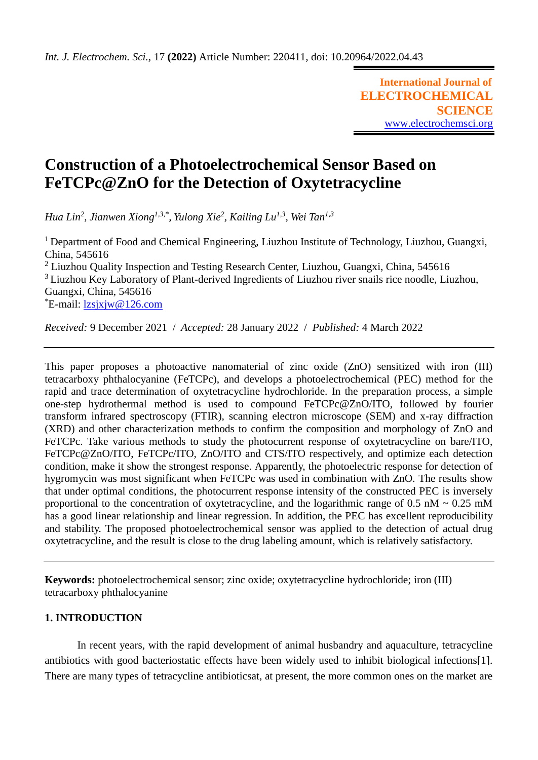**International Journal of ELECTROCHEMICAL SCIENCE** [www.electrochemsci.org](http://www.electrochemsci.org/)

# **Construction of a Photoelectrochemical Sensor Based on FeTCPc@ZnO for the Detection of Oxytetracycline**

*Hua Lin<sup>2</sup> , Jianwen Xiong1,3,\*, Yulong Xie<sup>2</sup> , Kailing Lu1,3, Wei Tan1,3*

<sup>1</sup> Department of Food and Chemical Engineering, Liuzhou Institute of Technology, Liuzhou, Guangxi, China, 545616 <sup>2</sup> Liuzhou Quality Inspection and Testing Research Center, Liuzhou, Guangxi, China, 545616 <sup>3</sup> Liuzhou Key Laboratory of Plant-derived Ingredients of Liuzhou river snails rice noodle, Liuzhou, Guangxi, China, 545616  $E$ -mail:  $lzsixjw@126.com$ 

*Received:* 9 December 2021/ *Accepted:* 28 January 2022 / *Published:* 4 March 2022

This paper proposes a photoactive nanomaterial of zinc oxide (ZnO) sensitized with iron (III) tetracarboxy phthalocyanine (FeTCPc), and develops a photoelectrochemical (PEC) method for the rapid and trace determination of oxytetracycline hydrochloride. In the preparation process, a simple one-step hydrothermal method is used to compound FeTCPc@ZnO/ITO, followed by fourier transform infrared spectroscopy (FTIR), scanning electron microscope (SEM) and x-ray diffraction (XRD) and other characterization methods to confirm the composition and morphology of ZnO and FeTCPc. Take various methods to study the photocurrent response of oxytetracycline on bare/ITO, FeTCPc@ZnO/ITO, FeTCPc/ITO, ZnO/ITO and CTS/ITO respectively, and optimize each detection condition, make it show the strongest response. Apparently, the photoelectric response for detection of hygromycin was most significant when FeTCPc was used in combination with ZnO. The results show that under optimal conditions, the photocurrent response intensity of the constructed PEC is inversely proportional to the concentration of oxytetracycline, and the logarithmic range of  $0.5 \text{ nM} \sim 0.25 \text{ mM}$ has a good linear relationship and linear regression. In addition, the PEC has excellent reproducibility and stability. The proposed photoelectrochemical sensor was applied to the detection of actual drug oxytetracycline, and the result is close to the drug labeling amount, which is relatively satisfactory.

**Keywords:** photoelectrochemical sensor; zinc oxide; oxytetracycline hydrochloride; iron (III) tetracarboxy phthalocyanine

# **1. INTRODUCTION**

In recent years, with the rapid development of animal husbandry and aquaculture, tetracycline antibiotics with good bacteriostatic effects have been widely used to inhibit biological infections[1]. There are many types of tetracycline antibioticsat, at present, the more common ones on the market are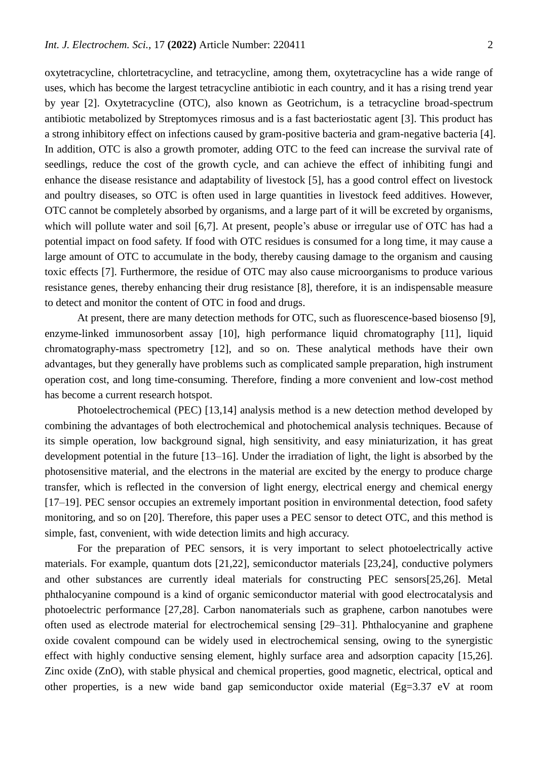oxytetracycline, chlortetracycline, and tetracycline, among them, oxytetracycline has a wide range of uses, which has become the largest tetracycline antibiotic in each country, and it has a rising trend year by year [2]. Oxytetracycline (OTC), also known as Geotrichum, is a tetracycline broad-spectrum antibiotic metabolized by Streptomyces rimosus and is a fast bacteriostatic agent [3]. This product has a strong inhibitory effect on infections caused by gram-positive bacteria and gram-negative bacteria [4]. In addition, OTC is also a growth promoter, adding OTC to the feed can increase the survival rate of seedlings, reduce the cost of the growth cycle, and can achieve the effect of inhibiting fungi and enhance the disease resistance and adaptability of livestock [5], has a good control effect on livestock and poultry diseases, so OTC is often used in large quantities in livestock feed additives. However, OTC cannot be completely absorbed by organisms, and a large part of it will be excreted by organisms, which will pollute water and soil [6,7]. At present, people's abuse or irregular use of OTC has had a potential impact on food safety. If food with OTC residues is consumed for a long time, it may cause a large amount of OTC to accumulate in the body, thereby causing damage to the organism and causing toxic effects [7]. Furthermore, the residue of OTC may also cause microorganisms to produce various resistance genes, thereby enhancing their drug resistance [8], therefore, it is an indispensable measure to detect and monitor the content of OTC in food and drugs.

At present, there are many detection methods for OTC, such as fluorescence-based biosenso [9], enzyme-linked immunosorbent assay [10], high performance liquid chromatography [11], liquid chromatography-mass spectrometry [12], and so on. These analytical methods have their own advantages, but they generally have problems such as complicated sample preparation, high instrument operation cost, and long time-consuming. Therefore, finding a more convenient and low-cost method has become a current research hotspot.

Photoelectrochemical (PEC) [13,14] analysis method is a new detection method developed by combining the advantages of both electrochemical and photochemical analysis techniques. Because of its simple operation, low background signal, high sensitivity, and easy miniaturization, it has great development potential in the future [13–16]. Under the irradiation of light, the light is absorbed by the photosensitive material, and the electrons in the material are excited by the energy to produce charge transfer, which is reflected in the conversion of light energy, electrical energy and chemical energy [17–19]. PEC sensor occupies an extremely important position in environmental detection, food safety monitoring, and so on [20]. Therefore, this paper uses a PEC sensor to detect OTC, and this method is simple, fast, convenient, with wide detection limits and high accuracy.

For the preparation of PEC sensors, it is very important to select photoelectrically active materials. For example, quantum dots [21,22], semiconductor materials [23,24], conductive polymers and other substances are currently ideal materials for constructing PEC sensors[25,26]. Metal phthalocyanine compound is a kind of organic semiconductor material with good electrocatalysis and photoelectric performance [27,28]. Carbon nanomaterials such as graphene, carbon nanotubes were often used as electrode material for electrochemical sensing [29–31]. Phthalocyanine and graphene oxide covalent compound can be widely used in electrochemical sensing, owing to the synergistic effect with highly conductive sensing element, highly surface area and adsorption capacity [15,26]. Zinc oxide (ZnO), with stable physical and chemical properties, good magnetic, electrical, optical and other properties, is a new wide band gap semiconductor oxide material (Eg=3.37 eV at room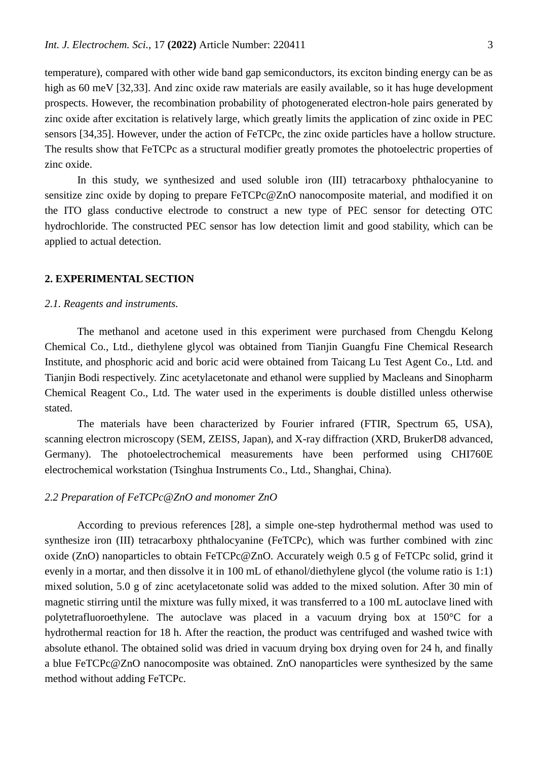temperature), compared with other wide band gap semiconductors, its exciton binding energy can be as high as 60 meV [32,33]. And zinc oxide raw materials are easily available, so it has huge development prospects. However, the recombination probability of photogenerated electron-hole pairs generated by zinc oxide after excitation is relatively large, which greatly limits the application of zinc oxide in PEC sensors [34,35]. However, under the action of FeTCPc, the zinc oxide particles have a hollow structure. The results show that FeTCPc as a structural modifier greatly promotes the photoelectric properties of zinc oxide.

In this study, we synthesized and used soluble iron (III) tetracarboxy phthalocyanine to sensitize zinc oxide by doping to prepare FeTCPc@ZnO nanocomposite material, and modified it on the ITO glass conductive electrode to construct a new type of PEC sensor for detecting OTC hydrochloride. The constructed PEC sensor has low detection limit and good stability, which can be applied to actual detection.

#### **2. EXPERIMENTAL SECTION**

#### *2.1. Reagents and instruments.*

The methanol and acetone used in this experiment were purchased from Chengdu Kelong Chemical Co., Ltd., diethylene glycol was obtained from Tianjin Guangfu Fine Chemical Research Institute, and phosphoric acid and boric acid were obtained from Taicang Lu Test Agent Co., Ltd. and Tianjin Bodi respectively. Zinc acetylacetonate and ethanol were supplied by Macleans and Sinopharm Chemical Reagent Co., Ltd. The water used in the experiments is double distilled unless otherwise stated.

The materials have been characterized by Fourier infrared (FTIR, Spectrum 65, USA), scanning electron microscopy (SEM, ZEISS, Japan), and X-ray diffraction (XRD, BrukerD8 advanced, Germany). The photoelectrochemical measurements have been performed using CHI760E electrochemical workstation (Tsinghua Instruments Co., Ltd., Shanghai, China).

#### *2.2 Preparation of FeTCPc@ZnO and monomer ZnO*

According to previous references [28], a simple one-step hydrothermal method was used to synthesize iron (III) tetracarboxy phthalocyanine (FeTCPc), which was further combined with zinc oxide (ZnO) nanoparticles to obtain FeTCPc@ZnO. Accurately weigh 0.5 g of FeTCPc solid, grind it evenly in a mortar, and then dissolve it in 100 mL of ethanol/diethylene glycol (the volume ratio is 1:1) mixed solution, 5.0 g of zinc acetylacetonate solid was added to the mixed solution. After 30 min of magnetic stirring until the mixture was fully mixed, it was transferred to a 100 mL autoclave lined with polytetrafluoroethylene. The autoclave was placed in a vacuum drying box at 150°C for a hydrothermal reaction for 18 h. After the reaction, the product was centrifuged and washed twice with absolute ethanol. The obtained solid was dried in vacuum drying box drying oven for 24 h, and finally a blue FeTCPc@ZnO nanocomposite was obtained. ZnO nanoparticles were synthesized by the same method without adding FeTCPc.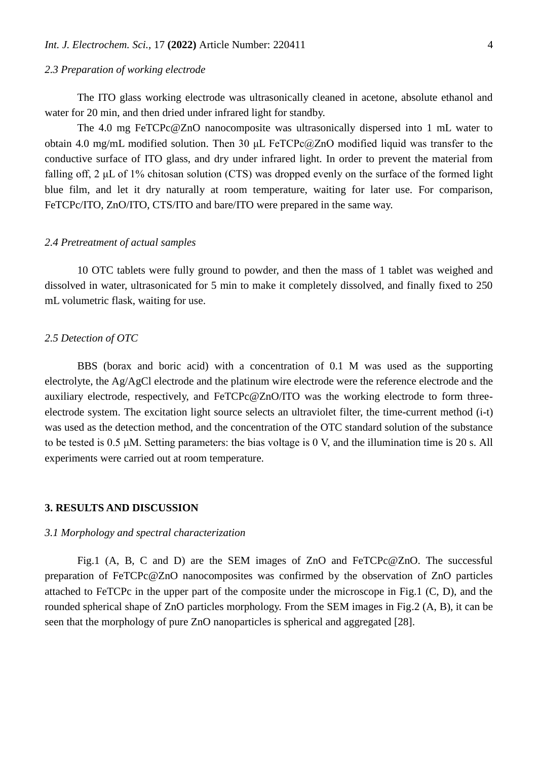## *2.3 Preparation of working electrode*

The ITO glass working electrode was ultrasonically cleaned in acetone, absolute ethanol and water for 20 min, and then dried under infrared light for standby.

The 4.0 mg FeTCPc@ZnO nanocomposite was ultrasonically dispersed into 1 mL water to obtain 4.0 mg/mL modified solution. Then 30 μL FeTCPc@ZnO modified liquid was transfer to the conductive surface of ITO glass, and dry under infrared light. In order to prevent the material from falling off, 2 μL of 1% chitosan solution (CTS) was dropped evenly on the surface of the formed light blue film, and let it dry naturally at room temperature, waiting for later use. For comparison, FeTCPc/ITO, ZnO/ITO, CTS/ITO and bare/ITO were prepared in the same way.

#### *2.4 Pretreatment of actual samples*

10 OTC tablets were fully ground to powder, and then the mass of 1 tablet was weighed and dissolved in water, ultrasonicated for 5 min to make it completely dissolved, and finally fixed to 250 mL volumetric flask, waiting for use.

### *2.5 Detection of OTC*

BBS (borax and boric acid) with a concentration of 0.1 M was used as the supporting electrolyte, the Ag/AgCl electrode and the platinum wire electrode were the reference electrode and the auxiliary electrode, respectively, and FeTCPc@ZnO/ITO was the working electrode to form threeelectrode system. The excitation light source selects an ultraviolet filter, the time-current method (i-t) was used as the detection method, and the concentration of the OTC standard solution of the substance to be tested is 0.5 μM. Setting parameters: the bias voltage is 0 V, and the illumination time is 20 s. All experiments were carried out at room temperature.

#### **3. RESULTS AND DISCUSSION**

## *3.1 Morphology and spectral characterization*

Fig.1 (A, B, C and D) are the SEM images of ZnO and FeTCPc@ZnO. The successful preparation of FeTCPc@ZnO nanocomposites was confirmed by the observation of ZnO particles attached to FeTCPc in the upper part of the composite under the microscope in Fig.1 (C, D), and the rounded spherical shape of ZnO particles morphology. From the SEM images in Fig.2 (A, B), it can be seen that the morphology of pure ZnO nanoparticles is spherical and aggregated [28].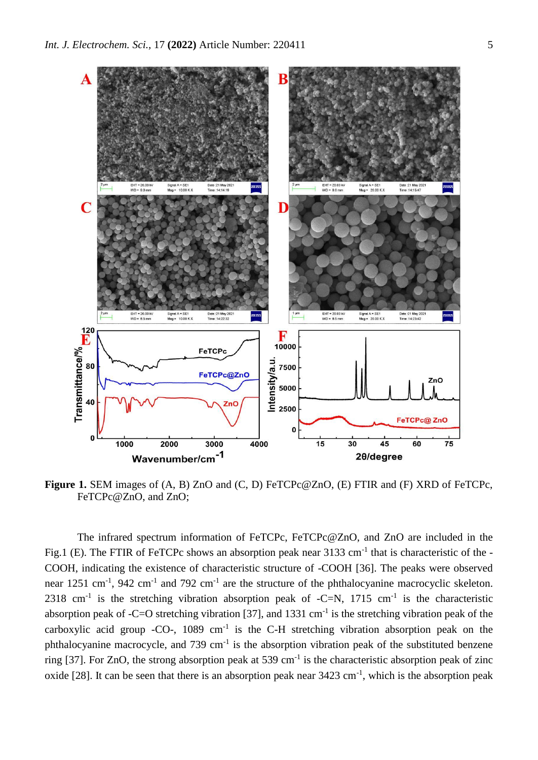

**Figure 1.** SEM images of (A, B) ZnO and (C, D) FeTCPc@ZnO, (E) FTIR and (F) XRD of FeTCPc, FeTCPc@ZnO, and ZnO;

The infrared spectrum information of FeTCPc, FeTCPc@ZnO, and ZnO are included in the Fig.1 (E). The FTIR of FeTCPc shows an absorption peak near 3133 cm<sup>-1</sup> that is characteristic of the -COOH, indicating the existence of characteristic structure of -COOH [36]. The peaks were observed near 1251 cm<sup>-1</sup>, 942 cm<sup>-1</sup> and 792 cm<sup>-1</sup> are the structure of the phthalocyanine macrocyclic skeleton. 2318 cm<sup>-1</sup> is the stretching vibration absorption peak of  $-C=N$ , 1715 cm<sup>-1</sup> is the characteristic absorption peak of -C=O stretching vibration [37], and 1331 cm<sup>-1</sup> is the stretching vibration peak of the carboxylic acid group -CO-,  $1089 \text{ cm}^{-1}$  is the C-H stretching vibration absorption peak on the phthalocyanine macrocycle, and  $739 \text{ cm}^{-1}$  is the absorption vibration peak of the substituted benzene ring [37]. For ZnO, the strong absorption peak at 539 cm<sup>-1</sup> is the characteristic absorption peak of zinc oxide [28]. It can be seen that there is an absorption peak near  $3423 \text{ cm}^{-1}$ , which is the absorption peak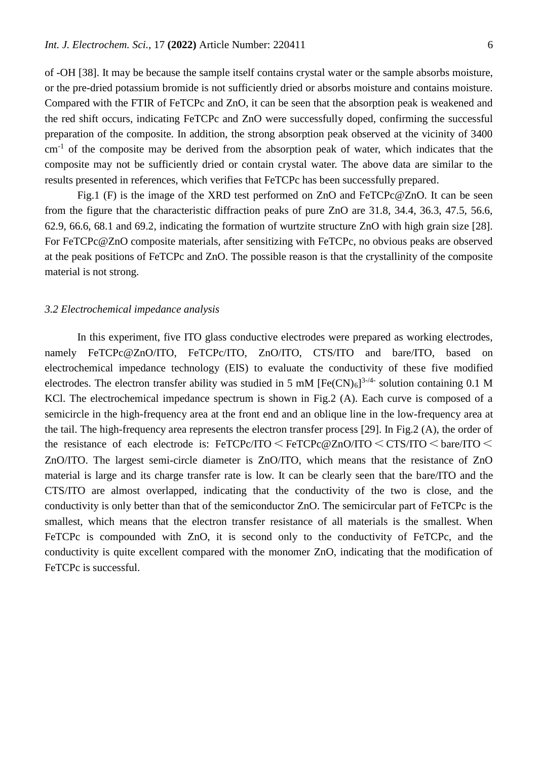of -OH [38]. It may be because the sample itself contains crystal water or the sample absorbs moisture, or the pre-dried potassium bromide is not sufficiently dried or absorbs moisture and contains moisture. Compared with the FTIR of FeTCPc and ZnO, it can be seen that the absorption peak is weakened and the red shift occurs, indicating FeTCPc and ZnO were successfully doped, confirming the successful preparation of the composite. In addition, the strong absorption peak observed at the vicinity of 3400 cm<sup>-1</sup> of the composite may be derived from the absorption peak of water, which indicates that the composite may not be sufficiently dried or contain crystal water. The above data are similar to the results presented in references, which verifies that FeTCPc has been successfully prepared.

Fig.1 (F) is the image of the XRD test performed on ZnO and FeTCPc@ZnO. It can be seen from the figure that the characteristic diffraction peaks of pure ZnO are 31.8, 34.4, 36.3, 47.5, 56.6, 62.9, 66.6, 68.1 and 69.2, indicating the formation of wurtzite structure ZnO with high grain size [28]. For FeTCPc@ZnO composite materials, after sensitizing with FeTCPc, no obvious peaks are observed at the peak positions of FeTCPc and ZnO. The possible reason is that the crystallinity of the composite material is not strong.

#### *3.2 Electrochemical impedance analysis*

In this experiment, five ITO glass conductive electrodes were prepared as working electrodes, namely FeTCPc@ZnO/ITO, FeTCPc/ITO, ZnO/ITO, CTS/ITO and bare/ITO, based on electrochemical impedance technology (EIS) to evaluate the conductivity of these five modified electrodes. The electron transfer ability was studied in 5 mM  $[Fe(CN)<sub>6</sub>]$ <sup>3-/4-</sup> solution containing 0.1 M KCl. The electrochemical impedance spectrum is shown in Fig.2 (A). Each curve is composed of a semicircle in the high-frequency area at the front end and an oblique line in the low-frequency area at the tail. The high-frequency area represents the electron transfer process [29]. In Fig.2 (A), the order of the resistance of each electrode is:  $FercPc/ITO \leq FercPc@ZnO/ITO \leq CTS/ITO \leq bare/ITO \leq$ ZnO/ITO. The largest semi-circle diameter is ZnO/ITO, which means that the resistance of ZnO material is large and its charge transfer rate is low. It can be clearly seen that the bare/ITO and the CTS/ITO are almost overlapped, indicating that the conductivity of the two is close, and the conductivity is only better than that of the semiconductor ZnO. The semicircular part of FeTCPc is the smallest, which means that the electron transfer resistance of all materials is the smallest. When FeTCPc is compounded with ZnO, it is second only to the conductivity of FeTCPc, and the conductivity is quite excellent compared with the monomer ZnO, indicating that the modification of FeTCPc is successful.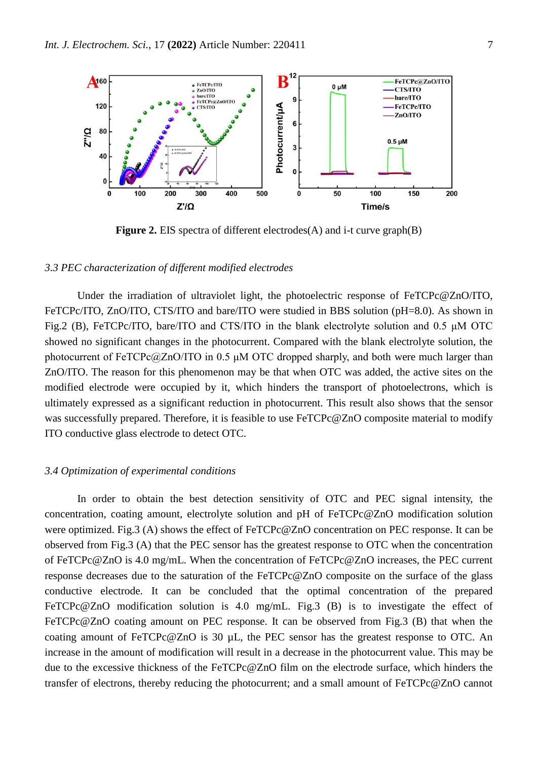

**Figure 2.** EIS spectra of different electrodes(A) and i-t curve graph(B)

## *3.3 PEC characterization of different modified electrodes*

Under the irradiation of ultraviolet light, the photoelectric response of FeTCPc@ZnO/ITO, FeTCPc/ITO, ZnO/ITO, CTS/ITO and bare/ITO were studied in BBS solution (pH=8.0). As shown in Fig.2 (B), FeTCPc/ITO, bare/ITO and CTS/ITO in the blank electrolyte solution and 0.5 μM OTC showed no significant changes in the photocurrent. Compared with the blank electrolyte solution, the photocurrent of FeTCPc@ZnO/ITO in 0.5 μM OTC dropped sharply, and both were much larger than ZnO/ITO. The reason for this phenomenon may be that when OTC was added, the active sites on the modified electrode were occupied by it, which hinders the transport of photoelectrons, which is ultimately expressed as a significant reduction in photocurrent. This result also shows that the sensor was successfully prepared. Therefore, it is feasible to use FeTCPc@ZnO composite material to modify ITO conductive glass electrode to detect OTC.

### *3.4 Optimization of experimental conditions*

In order to obtain the best detection sensitivity of OTC and PEC signal intensity, the concentration, coating amount, electrolyte solution and pH of FeTCPc@ZnO modification solution were optimized. Fig.3 (A) shows the effect of FeTCPc@ZnO concentration on PEC response. It can be observed from Fig.3 (A) that the PEC sensor has the greatest response to OTC when the concentration of FeTCPc@ZnO is 4.0 mg/mL. When the concentration of FeTCPc@ZnO increases, the PEC current response decreases due to the saturation of the FeTCPc@ZnO composite on the surface of the glass conductive electrode. It can be concluded that the optimal concentration of the prepared FeTCPc@ZnO modification solution is 4.0 mg/mL. Fig.3 (B) is to investigate the effect of FeTCPc@ZnO coating amount on PEC response. It can be observed from Fig.3 (B) that when the coating amount of FeTCPc@ZnO is 30 µL, the PEC sensor has the greatest response to OTC. An increase in the amount of modification will result in a decrease in the photocurrent value. This may be due to the excessive thickness of the FeTCPc@ZnO film on the electrode surface, which hinders the transfer of electrons, thereby reducing the photocurrent; and a small amount of FeTCPc@ZnO cannot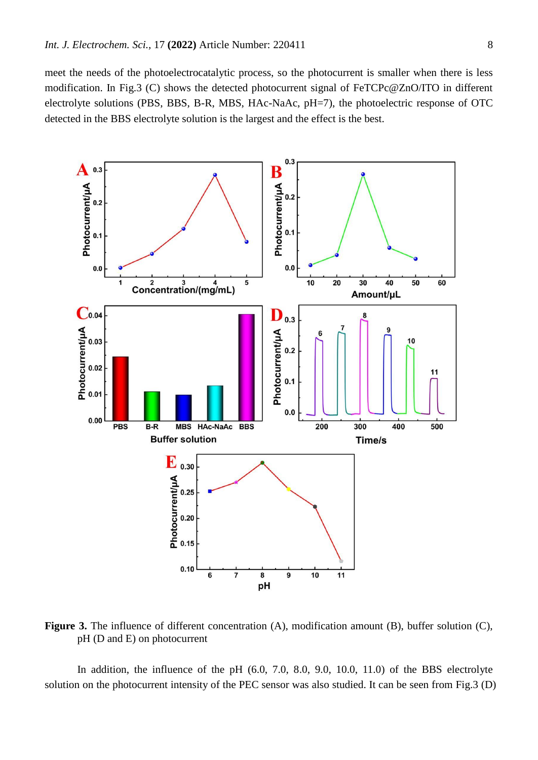meet the needs of the photoelectrocatalytic process, so the photocurrent is smaller when there is less modification. In Fig.3 (C) shows the detected photocurrent signal of FeTCPc@ZnO/ITO in different electrolyte solutions (PBS, BBS, B-R, MBS, HAc-NaAc, pH=7), the photoelectric response of OTC detected in the BBS electrolyte solution is the largest and the effect is the best.



Figure 3. The influence of different concentration (A), modification amount (B), buffer solution (C), pH (D and E) on photocurrent

In addition, the influence of the pH  $(6.0, 7.0, 8.0, 9.0, 10.0, 11.0)$  of the BBS electrolyte solution on the photocurrent intensity of the PEC sensor was also studied. It can be seen from Fig.3 (D)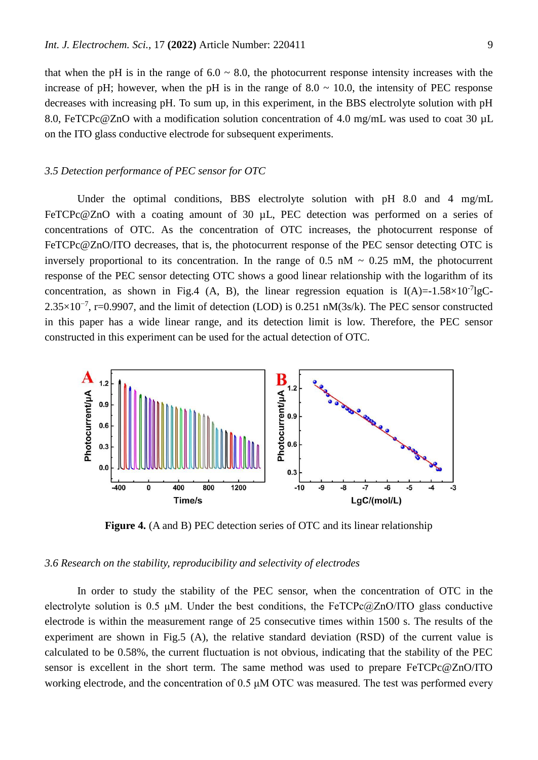that when the pH is in the range of  $6.0 \sim 8.0$ , the photocurrent response intensity increases with the increase of pH; however, when the pH is in the range of  $8.0 \sim 10.0$ , the intensity of PEC response decreases with increasing pH. To sum up, in this experiment, in the BBS electrolyte solution with pH 8.0, FeTCPc@ZnO with a modification solution concentration of 4.0 mg/mL was used to coat 30 µL on the ITO glass conductive electrode for subsequent experiments.

## *3.5 Detection performance of PEC sensor for OTC*

Under the optimal conditions, BBS electrolyte solution with pH 8.0 and 4 mg/mL FeTCPc@ZnO with a coating amount of 30 µL, PEC detection was performed on a series of concentrations of OTC. As the concentration of OTC increases, the photocurrent response of FeTCPc@ZnO/ITO decreases, that is, the photocurrent response of the PEC sensor detecting OTC is inversely proportional to its concentration. In the range of  $0.5$  nM  $\sim 0.25$  mM, the photocurrent response of the PEC sensor detecting OTC shows a good linear relationship with the logarithm of its concentration, as shown in Fig.4 (A, B), the linear regression equation is  $I(A)=1.58\times10^{-7}lgC$  $2.35\times10^{-7}$ , r=0.9907, and the limit of detection (LOD) is 0.251 nM(3s/k). The PEC sensor constructed in this paper has a wide linear range, and its detection limit is low. Therefore, the PEC sensor constructed in this experiment can be used for the actual detection of OTC.



**Figure 4.** (A and B) PEC detection series of OTC and its linear relationship

## *3.6 Research on the stability, reproducibility and selectivity of electrodes*

In order to study the stability of the PEC sensor, when the concentration of OTC in the electrolyte solution is 0.5  $\mu$ M. Under the best conditions, the FeTCPc $@ZnO/ITO$  glass conductive electrode is within the measurement range of 25 consecutive times within 1500 s. The results of the experiment are shown in Fig.5 (A), the relative standard deviation (RSD) of the current value is calculated to be 0.58%, the current fluctuation is not obvious, indicating that the stability of the PEC sensor is excellent in the short term. The same method was used to prepare FeTCPc@ZnO/ITO working electrode, and the concentration of 0.5 μM OTC was measured. The test was performed every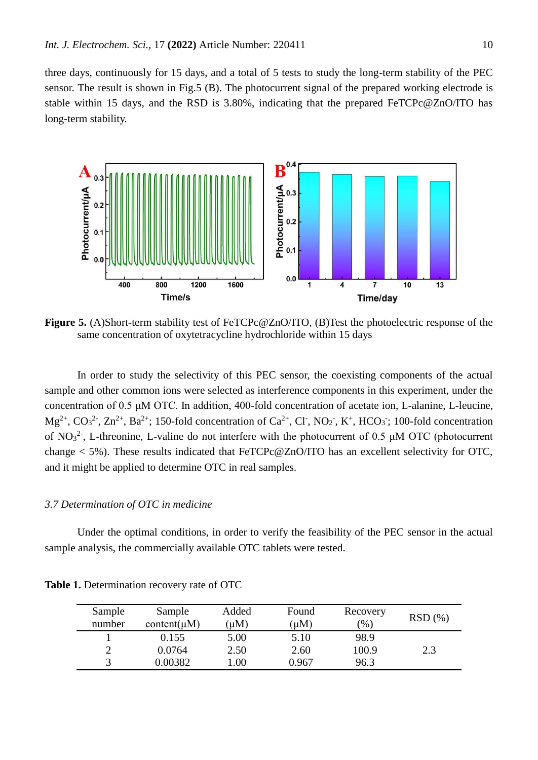three days, continuously for 15 days, and a total of 5 tests to study the long-term stability of the PEC sensor. The result is shown in Fig.5 (B). The photocurrent signal of the prepared working electrode is stable within 15 days, and the RSD is 3.80%, indicating that the prepared FeTCPc@ZnO/ITO has long-term stability.



**Figure 5.** (A)Short-term stability test of FeTCPc@ZnO/ITO, (B)Test the photoelectric response of the same concentration of oxytetracycline hydrochloride within 15 days

In order to study the selectivity of this PEC sensor, the coexisting components of the actual sample and other common ions were selected as interference components in this experiment, under the concentration of 0.5 μM OTC. In addition, 400-fold concentration of acetate ion, L-alanine, L-leucine,  $Mg^{2+}$ ,  $CO_3^{2-}$ ,  $Zn^{2+}$ , Ba<sup>2+</sup>; 150-fold concentration of  $Ca^{2+}$ , Cl<sup>-</sup>, NO<sub>2</sub><sup>-</sup>, K<sup>+</sup>, HCO<sub>3</sub><sup>-</sup>; 100-fold concentration of NO<sub>3</sub><sup>2</sup>, L-threonine, L-valine do not interfere with the photocurrent of 0.5  $\mu$ M OTC (photocurrent change < 5%). These results indicated that FeTCPc@ZnO/ITO has an excellent selectivity for OTC, and it might be applied to determine OTC in real samples.

#### *3.7 Determination of OTC in medicine*

Under the optimal conditions, in order to verify the feasibility of the PEC sensor in the actual sample analysis, the commercially available OTC tablets were tested.

| Sample<br>number | Sample<br>content( $\mu$ M) | Added<br>$(\mu M)$ | Found<br>$(\mu M)$ | Recovery<br>$\frac{9}{6}$ | RSD(%) |
|------------------|-----------------------------|--------------------|--------------------|---------------------------|--------|
|                  | 0.155                       | 5.00               | 5.10               | 98.9                      |        |
| ∍                | 0.0764                      | 2.50               | 2.60               | 100.9                     | 2.3    |
|                  | 0.00382                     | .00                | 0.967              | 96.3                      |        |

**Table 1.** Determination recovery rate of OTC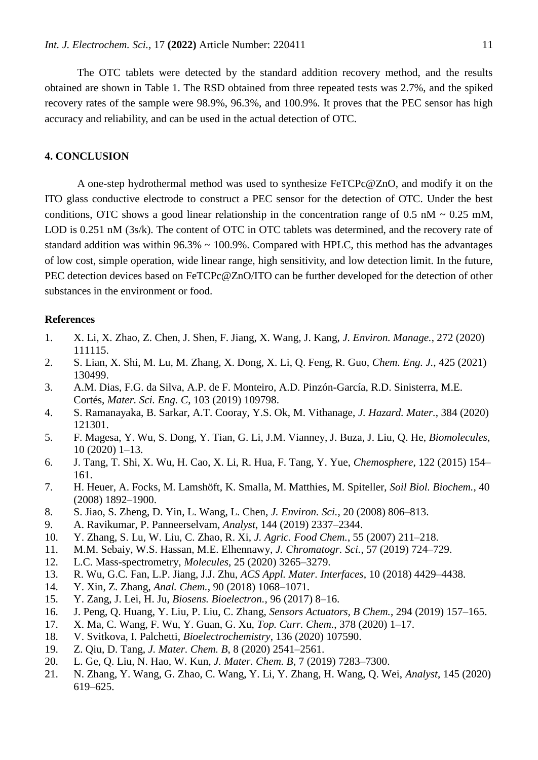The OTC tablets were detected by the standard addition recovery method, and the results obtained are shown in Table 1. The RSD obtained from three repeated tests was 2.7%, and the spiked recovery rates of the sample were 98.9%, 96.3%, and 100.9%. It proves that the PEC sensor has high accuracy and reliability, and can be used in the actual detection of OTC.

## **4. CONCLUSION**

A one-step hydrothermal method was used to synthesize FeTCPc@ZnO, and modify it on the ITO glass conductive electrode to construct a PEC sensor for the detection of OTC. Under the best conditions, OTC shows a good linear relationship in the concentration range of  $0.5 \text{ nM} \sim 0.25 \text{ mM}$ , LOD is 0.251 nM (3s/k). The content of OTC in OTC tablets was determined, and the recovery rate of standard addition was within  $96.3\% \sim 100.9\%$ . Compared with HPLC, this method has the advantages of low cost, simple operation, wide linear range, high sensitivity, and low detection limit. In the future, PEC detection devices based on FeTCPc@ZnO/ITO can be further developed for the detection of other substances in the environment or food.

#### **References**

- 1. X. Li, X. Zhao, Z. Chen, J. Shen, F. Jiang, X. Wang, J. Kang, *J. Environ. Manage.*, 272 (2020) 111115.
- 2. S. Lian, X. Shi, M. Lu, M. Zhang, X. Dong, X. Li, Q. Feng, R. Guo, *Chem. Eng. J.*, 425 (2021) 130499.
- 3. A.M. Dias, F.G. da Silva, A.P. de F. Monteiro, A.D. Pinzón-García, R.D. Sinisterra, M.E. Cortés, *Mater. Sci. Eng. C*, 103 (2019) 109798.
- 4. S. Ramanayaka, B. Sarkar, A.T. Cooray, Y.S. Ok, M. Vithanage, *J. Hazard. Mater.*, 384 (2020) 121301.
- 5. F. Magesa, Y. Wu, S. Dong, Y. Tian, G. Li, J.M. Vianney, J. Buza, J. Liu, Q. He, *Biomolecules*, 10 (2020) 1–13.
- 6. J. Tang, T. Shi, X. Wu, H. Cao, X. Li, R. Hua, F. Tang, Y. Yue, *Chemosphere*, 122 (2015) 154– 161.
- 7. H. Heuer, A. Focks, M. Lamshöft, K. Smalla, M. Matthies, M. Spiteller, *Soil Biol. Biochem.*, 40 (2008) 1892–1900.
- 8. S. Jiao, S. Zheng, D. Yin, L. Wang, L. Chen, *J. Environ. Sci.*, 20 (2008) 806–813.
- 9. A. Ravikumar, P. Panneerselvam, *Analyst*, 144 (2019) 2337–2344.
- 10. Y. Zhang, S. Lu, W. Liu, C. Zhao, R. Xi, *J. Agric. Food Chem.*, 55 (2007) 211–218.
- 11. M.M. Sebaiy, W.S. Hassan, M.E. Elhennawy, *J. Chromatogr. Sci.*, 57 (2019) 724–729.
- 12. L.C. Mass-spectrometry, *Molecules*, 25 (2020) 3265–3279.
- 13. R. Wu, G.C. Fan, L.P. Jiang, J.J. Zhu, *ACS Appl. Mater. Interfaces*, 10 (2018) 4429–4438.
- 14. Y. Xin, Z. Zhang, *Anal. Chem.*, 90 (2018) 1068–1071.
- 15. Y. Zang, J. Lei, H. Ju, *Biosens. Bioelectron.*, 96 (2017) 8–16.
- 16. J. Peng, Q. Huang, Y. Liu, P. Liu, C. Zhang, *Sensors Actuators, B Chem.*, 294 (2019) 157–165.
- 17. X. Ma, C. Wang, F. Wu, Y. Guan, G. Xu, *Top. Curr. Chem.*, 378 (2020) 1–17.
- 18. V. Svitkova, I. Palchetti, *Bioelectrochemistry*, 136 (2020) 107590.
- 19. Z. Qiu, D. Tang, *J. Mater. Chem. B*, 8 (2020) 2541–2561.
- 20. L. Ge, Q. Liu, N. Hao, W. Kun, *J. Mater. Chem. B*, 7 (2019) 7283–7300.
- 21. N. Zhang, Y. Wang, G. Zhao, C. Wang, Y. Li, Y. Zhang, H. Wang, Q. Wei, *Analyst*, 145 (2020) 619–625.